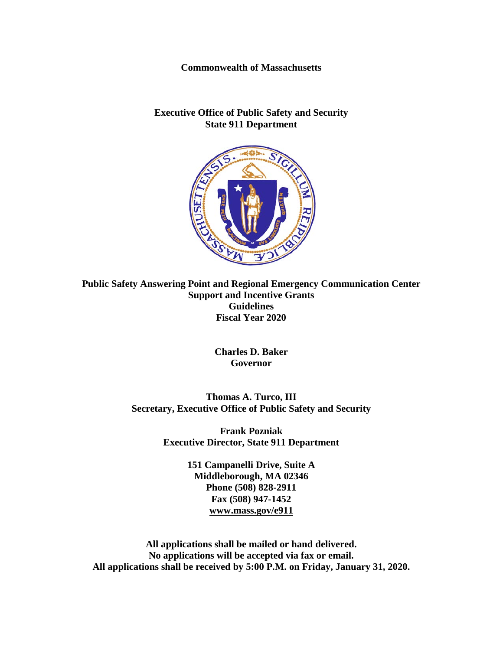**Commonwealth of Massachusetts**

#### **Executive Office of Public Safety and Security State 911 Department**



**Public Safety Answering Point and Regional Emergency Communication Center Support and Incentive Grants Guidelines Fiscal Year 2020**

> **Charles D. Baker Governor**

**Thomas A. Turco, III Secretary, Executive Office of Public Safety and Security**

> **Frank Pozniak Executive Director, State 911 Department**

> > **151 Campanelli Drive, Suite A Middleborough, MA 02346 Phone (508) 828-2911 Fax (508) 947-1452 [www.mass.gov/e911](http://www.mass.gov/e911)**

**All applications shall be mailed or hand delivered. No applications will be accepted via fax or email. All applications shall be received by 5:00 P.M. on Friday, January 31, 2020.**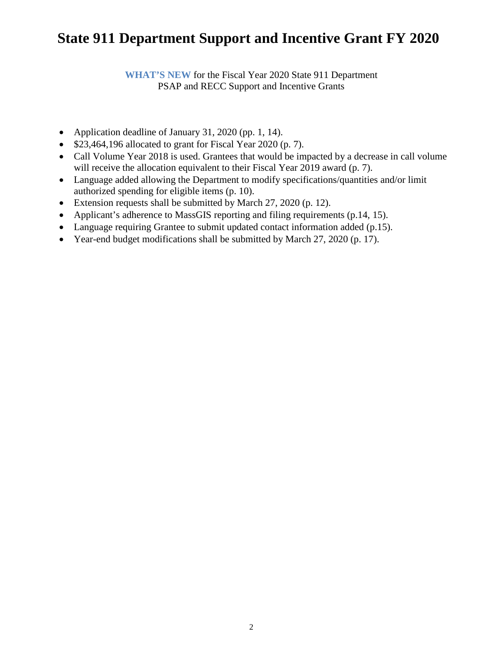**WHAT'S NEW** for the Fiscal Year 2020 State 911 Department PSAP and RECC Support and Incentive Grants

- Application deadline of January 31, 2020 (pp. 1, 14).
- \$23,464,196 allocated to grant for Fiscal Year 2020 (p. 7).
- Call Volume Year 2018 is used. Grantees that would be impacted by a decrease in call volume will receive the allocation equivalent to their Fiscal Year 2019 award (p. 7).
- Language added allowing the Department to modify specifications/quantities and/or limit authorized spending for eligible items (p. 10).
- Extension requests shall be submitted by March 27, 2020 (p. 12).
- Applicant's adherence to MassGIS reporting and filing requirements (p.14, 15).
- Language requiring Grantee to submit updated contact information added (p.15).
- Year-end budget modifications shall be submitted by March 27, 2020 (p. 17).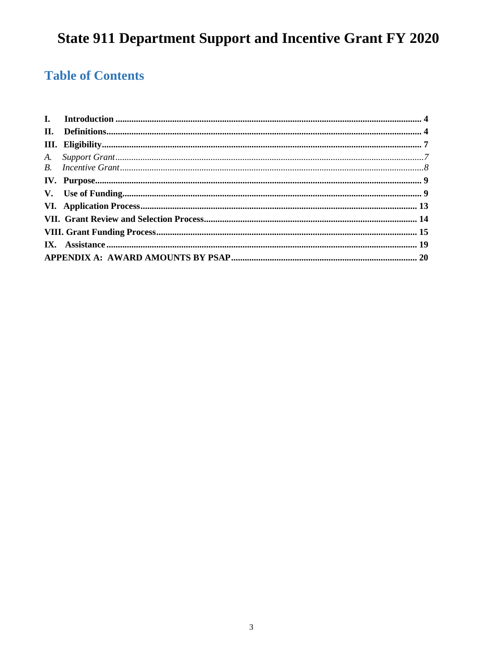## **Table of Contents**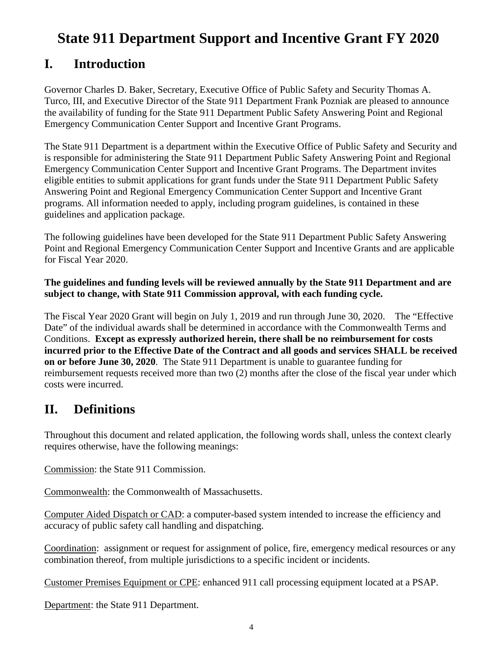### <span id="page-3-0"></span>**I. Introduction**

Governor Charles D. Baker, Secretary, Executive Office of Public Safety and Security Thomas A. Turco, III, and Executive Director of the State 911 Department Frank Pozniak are pleased to announce the availability of funding for the State 911 Department Public Safety Answering Point and Regional Emergency Communication Center Support and Incentive Grant Programs.

The State 911 Department is a department within the Executive Office of Public Safety and Security and is responsible for administering the State 911 Department Public Safety Answering Point and Regional Emergency Communication Center Support and Incentive Grant Programs. The Department invites eligible entities to submit applications for grant funds under the State 911 Department Public Safety Answering Point and Regional Emergency Communication Center Support and Incentive Grant programs. All information needed to apply, including program guidelines, is contained in these guidelines and application package.

The following guidelines have been developed for the State 911 Department Public Safety Answering Point and Regional Emergency Communication Center Support and Incentive Grants and are applicable for Fiscal Year 2020.

#### **The guidelines and funding levels will be reviewed annually by the State 911 Department and are subject to change, with State 911 Commission approval, with each funding cycle.**

The Fiscal Year 2020 Grant will begin on July 1, 2019 and run through June 30, 2020. The "Effective Date" of the individual awards shall be determined in accordance with the Commonwealth Terms and Conditions. **Except as expressly authorized herein, there shall be no reimbursement for costs incurred prior to the Effective Date of the Contract and all goods and services SHALL be received on or before June 30, 2020**. The State 911 Department is unable to guarantee funding for reimbursement requests received more than two (2) months after the close of the fiscal year under which costs were incurred.

### <span id="page-3-1"></span>**II. Definitions**

Throughout this document and related application, the following words shall, unless the context clearly requires otherwise, have the following meanings:

Commission: the State 911 Commission.

Commonwealth: the Commonwealth of Massachusetts.

Computer Aided Dispatch or CAD: a computer-based system intended to increase the efficiency and accuracy of public safety call handling and dispatching.

Coordination: assignment or request for assignment of police, fire, emergency medical resources or any combination thereof, from multiple jurisdictions to a specific incident or incidents.

Customer Premises Equipment or CPE: enhanced 911 call processing equipment located at a PSAP.

Department: the State 911 Department.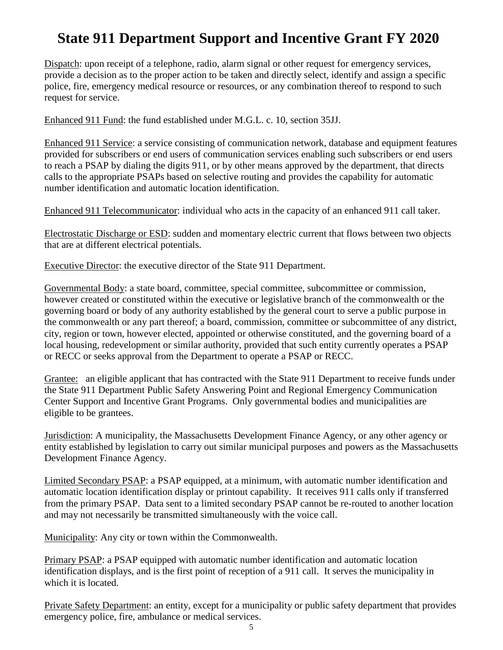Dispatch: upon receipt of a telephone, radio, alarm signal or other request for emergency services, provide a decision as to the proper action to be taken and directly select, identify and assign a specific police, fire, emergency medical resource or resources, or any combination thereof to respond to such request for service.

Enhanced 911 Fund: the fund established under M.G.L. c. 10, section 35JJ.

Enhanced 911 Service: a service consisting of communication network, database and equipment features provided for subscribers or end users of communication services enabling such subscribers or end users to reach a PSAP by dialing the digits 911, or by other means approved by the department, that directs calls to the appropriate PSAPs based on selective routing and provides the capability for automatic number identification and automatic location identification.

Enhanced 911 Telecommunicator: individual who acts in the capacity of an enhanced 911 call taker.

Electrostatic Discharge or ESD: sudden and momentary electric current that flows between two objects that are at different electrical potentials.

Executive Director: the executive director of the State 911 Department.

Governmental Body: a state board, committee, special committee, subcommittee or commission, however created or constituted within the executive or legislative branch of the commonwealth or the governing board or body of any authority established by the general court to serve a public purpose in the commonwealth or any part thereof; a board, commission, committee or subcommittee of any district, city, region or town, however elected, appointed or otherwise constituted, and the governing board of a local housing, redevelopment or similar authority, provided that such entity currently operates a PSAP or RECC or seeks approval from the Department to operate a PSAP or RECC.

Grantee: an eligible applicant that has contracted with the State 911 Department to receive funds under the State 911 Department Public Safety Answering Point and Regional Emergency Communication Center Support and Incentive Grant Programs. Only governmental bodies and municipalities are eligible to be grantees.

Jurisdiction: A municipality, the Massachusetts Development Finance Agency, or any other agency or entity established by legislation to carry out similar municipal purposes and powers as the Massachusetts Development Finance Agency.

Limited Secondary PSAP: a PSAP equipped, at a minimum, with automatic number identification and automatic location identification display or printout capability. It receives 911 calls only if transferred from the primary PSAP. Data sent to a limited secondary PSAP cannot be re-routed to another location and may not necessarily be transmitted simultaneously with the voice call.

Municipality: Any city or town within the Commonwealth.

Primary PSAP: a PSAP equipped with automatic number identification and automatic location identification displays, and is the first point of reception of a 911 call. It serves the municipality in which it is located.

Private Safety Department: an entity, except for a municipality or public safety department that provides emergency police, fire, ambulance or medical services.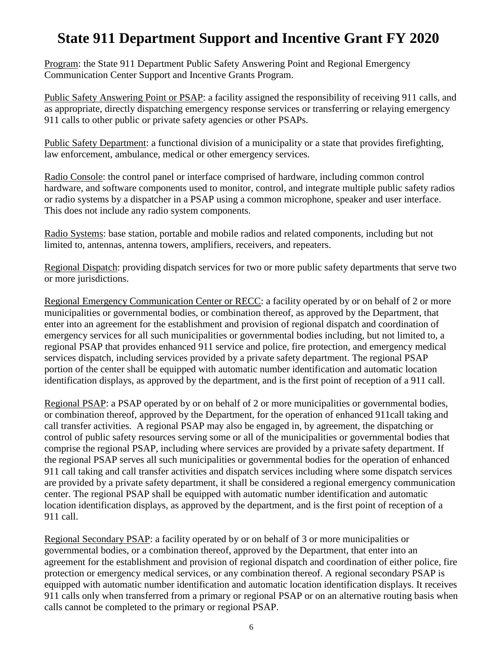Program: the State 911 Department Public Safety Answering Point and Regional Emergency Communication Center Support and Incentive Grants Program.

Public Safety Answering Point or PSAP: a facility assigned the responsibility of receiving 911 calls, and as appropriate, directly dispatching emergency response services or transferring or relaying emergency 911 calls to other public or private safety agencies or other PSAPs.

Public Safety Department: a functional division of a municipality or a state that provides firefighting, law enforcement, ambulance, medical or other emergency services.

Radio Console: the control panel or interface comprised of hardware, including common control hardware, and software components used to monitor, control, and integrate multiple public safety radios or radio systems by a dispatcher in a PSAP using a common microphone, speaker and user interface. This does not include any radio system components.

Radio Systems: base station, portable and mobile radios and related components, including but not limited to, antennas, antenna towers, amplifiers, receivers, and repeaters.

Regional Dispatch: providing dispatch services for two or more public safety departments that serve two or more jurisdictions.

Regional Emergency Communication Center or RECC: a facility operated by or on behalf of 2 or more municipalities or governmental bodies, or combination thereof, as approved by the Department, that enter into an agreement for the establishment and provision of regional dispatch and coordination of emergency services for all such municipalities or governmental bodies including, but not limited to, a regional PSAP that provides enhanced 911 service and police, fire protection, and emergency medical services dispatch, including services provided by a private safety department. The regional PSAP portion of the center shall be equipped with automatic number identification and automatic location identification displays, as approved by the department, and is the first point of reception of a 911 call.

Regional PSAP: a PSAP operated by or on behalf of 2 or more municipalities or governmental bodies, or combination thereof, approved by the Department, for the operation of enhanced 911call taking and call transfer activities. A regional PSAP may also be engaged in, by agreement, the dispatching or control of public safety resources serving some or all of the municipalities or governmental bodies that comprise the regional PSAP, including where services are provided by a private safety department. If the regional PSAP serves all such municipalities or governmental bodies for the operation of enhanced 911 call taking and call transfer activities and dispatch services including where some dispatch services are provided by a private safety department, it shall be considered a regional emergency communication center. The regional PSAP shall be equipped with automatic number identification and automatic location identification displays, as approved by the department, and is the first point of reception of a 911 call.

Regional Secondary PSAP: a facility operated by or on behalf of 3 or more municipalities or governmental bodies, or a combination thereof, approved by the Department, that enter into an agreement for the establishment and provision of regional dispatch and coordination of either police, fire protection or emergency medical services, or any combination thereof. A regional secondary PSAP is equipped with automatic number identification and automatic location identification displays. It receives 911 calls only when transferred from a primary or regional PSAP or on an alternative routing basis when calls cannot be completed to the primary or regional PSAP.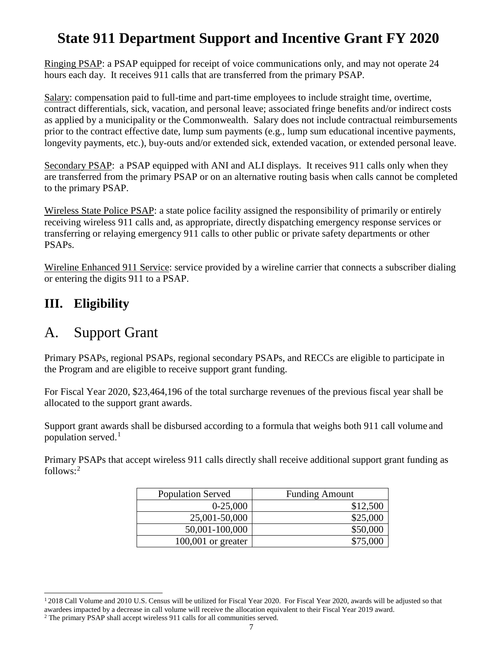Ringing PSAP: a PSAP equipped for receipt of voice communications only, and may not operate 24 hours each day. It receives 911 calls that are transferred from the primary PSAP.

Salary: compensation paid to full-time and part-time employees to include straight time, overtime, contract differentials, sick, vacation, and personal leave; associated fringe benefits and/or indirect costs as applied by a municipality or the Commonwealth. Salary does not include contractual reimbursements prior to the contract effective date, lump sum payments (e.g., lump sum educational incentive payments, longevity payments, etc.), buy-outs and/or extended sick, extended vacation, or extended personal leave.

Secondary PSAP: a PSAP equipped with ANI and ALI displays. It receives 911 calls only when they are transferred from the primary PSAP or on an alternative routing basis when calls cannot be completed to the primary PSAP.

Wireless State Police PSAP: a state police facility assigned the responsibility of primarily or entirely receiving wireless 911 calls and, as appropriate, directly dispatching emergency response services or transferring or relaying emergency 911 calls to other public or private safety departments or other PSAPs.

Wireline Enhanced 911 Service: service provided by a wireline carrier that connects a subscriber dialing or entering the digits 911 to a PSAP.

### <span id="page-6-0"></span>**III. Eligibility**

### <span id="page-6-1"></span>A. Support Grant

Primary PSAPs, regional PSAPs, regional secondary PSAPs, and RECCs are eligible to participate in the Program and are eligible to receive support grant funding.

For Fiscal Year 2020, \$23,464,196 of the total surcharge revenues of the previous fiscal year shall be allocated to the support grant awards.

Support grant awards shall be disbursed according to a formula that weighs both 911 call volume and population served.<sup>[1](#page-6-2)</sup>

Primary PSAPs that accept wireless 911 calls directly shall receive additional support grant funding as follows: [2](#page-6-3)

| <b>Population Served</b> | <b>Funding Amount</b> |
|--------------------------|-----------------------|
| $0-25,000$               | \$12,500              |
| 25,001-50,000            | \$25,000              |
| 50,001-100,000           | \$50,000              |
| $100,001$ or greater     | \$75,000              |

<span id="page-6-2"></span><sup>&</sup>lt;sup>1</sup> 2018 Call Volume and 2010 U.S. Census will be utilized for Fiscal Year 2020. For Fiscal Year 2020, awards will be adjusted so that awardees impacted by a decrease in call volume will receive the allocation equivalent to their Fiscal Year 2019 award.

<span id="page-6-3"></span><sup>2</sup> The primary PSAP shall accept wireless 911 calls for all communities served.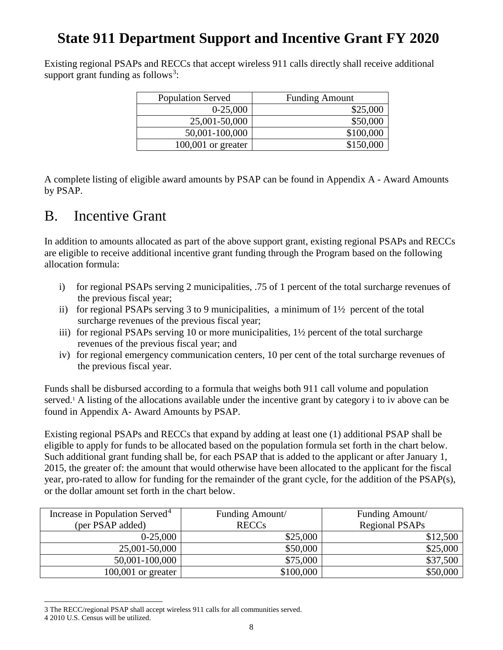Existing regional PSAPs and RECCs that accept wireless 911 calls directly shall receive additional support grant funding as follows<sup>[3](#page-7-1)</sup>:

| <b>Population Served</b> | <b>Funding Amount</b> |
|--------------------------|-----------------------|
| $0-25,000$               | \$25,000              |
| 25,001-50,000            | \$50,000              |
| 50,001-100,000           | \$100,000             |
| $100,001$ or greater     | \$150,000             |

A complete listing of eligible award amounts by PSAP can be found in Appendix A - Award Amounts by PSAP.

### <span id="page-7-0"></span>B. Incentive Grant

In addition to amounts allocated as part of the above support grant, existing regional PSAPs and RECCs are eligible to receive additional incentive grant funding through the Program based on the following allocation formula:

- i) for regional PSAPs serving 2 municipalities, .75 of 1 percent of the total surcharge revenues of the previous fiscal year;
- ii) for regional PSAPs serving 3 to 9 municipalities, a minimum of  $1\frac{1}{2}$  percent of the total surcharge revenues of the previous fiscal year;
- iii) for regional PSAPs serving 10 or more municipalities,  $1\frac{1}{2}$  percent of the total surcharge revenues of the previous fiscal year; and
- iv) for regional emergency communication centers, 10 per cent of the total surcharge revenues of the previous fiscal year.

Funds shall be disbursed according to a formula that weighs both 911 call volume and population served. <sup>1</sup> A listing of the allocations available under the incentive grant by category i to iv above can be found in Appendix A- Award Amounts by PSAP.

Existing regional PSAPs and RECCs that expand by adding at least one (1) additional PSAP shall be eligible to apply for funds to be allocated based on the population formula set forth in the chart below. Such additional grant funding shall be, for each PSAP that is added to the applicant or after January 1, 2015, the greater of: the amount that would otherwise have been allocated to the applicant for the fiscal year, pro-rated to allow for funding for the remainder of the grant cycle, for the addition of the PSAP(s), or the dollar amount set forth in the chart below.

| Increase in Population Served <sup>4</sup> | Funding Amount/ | Funding Amount/ |
|--------------------------------------------|-----------------|-----------------|
| (per PSAP added)                           | <b>RECCs</b>    | Regional PSAPs  |
| $0-25,000$                                 | \$25,000        | \$12,500        |
| 25,001-50,000                              | \$50,000        | \$25,000        |
| 50,001-100,000                             | \$75,000        | \$37,500        |
| $100,001$ or greater                       | \$100,000       | \$50,000        |

<span id="page-7-1"></span> $\overline{a}$ 3 The RECC/regional PSAP shall accept wireless 911 calls for all communities served.

<span id="page-7-2"></span><sup>4</sup> 2010 U.S. Census will be utilized.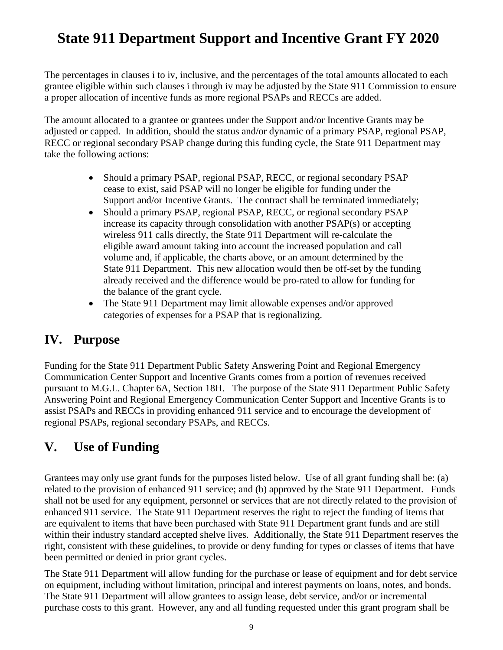The percentages in clauses i to iv, inclusive, and the percentages of the total amounts allocated to each grantee eligible within such clauses i through iv may be adjusted by the State 911 Commission to ensure a proper allocation of incentive funds as more regional PSAPs and RECCs are added.

The amount allocated to a grantee or grantees under the Support and/or Incentive Grants may be adjusted or capped. In addition, should the status and/or dynamic of a primary PSAP, regional PSAP, RECC or regional secondary PSAP change during this funding cycle, the State 911 Department may take the following actions:

- Should a primary PSAP, regional PSAP, RECC, or regional secondary PSAP cease to exist, said PSAP will no longer be eligible for funding under the Support and/or Incentive Grants. The contract shall be terminated immediately;
- Should a primary PSAP, regional PSAP, RECC, or regional secondary PSAP increase its capacity through consolidation with another PSAP(s) or accepting wireless 911 calls directly, the State 911 Department will re-calculate the eligible award amount taking into account the increased population and call volume and, if applicable, the charts above, or an amount determined by the State 911 Department. This new allocation would then be off-set by the funding already received and the difference would be pro-rated to allow for funding for the balance of the grant cycle.
- The State 911 Department may limit allowable expenses and/or approved categories of expenses for a PSAP that is regionalizing.

#### <span id="page-8-0"></span>**IV. Purpose**

Funding for the State 911 Department Public Safety Answering Point and Regional Emergency Communication Center Support and Incentive Grants comes from a portion of revenues received pursuant to M.G.L. Chapter 6A, Section 18H. The purpose of the State 911 Department Public Safety Answering Point and Regional Emergency Communication Center Support and Incentive Grants is to assist PSAPs and RECCs in providing enhanced 911 service and to encourage the development of regional PSAPs, regional secondary PSAPs, and RECCs.

#### <span id="page-8-1"></span>**V. Use of Funding**

Grantees may only use grant funds for the purposes listed below. Use of all grant funding shall be: (a) related to the provision of enhanced 911 service; and (b) approved by the State 911 Department. Funds shall not be used for any equipment, personnel or services that are not directly related to the provision of enhanced 911 service. The State 911 Department reserves the right to reject the funding of items that are equivalent to items that have been purchased with State 911 Department grant funds and are still within their industry standard accepted shelve lives. Additionally, the State 911 Department reserves the right, consistent with these guidelines, to provide or deny funding for types or classes of items that have been permitted or denied in prior grant cycles.

The State 911 Department will allow funding for the purchase or lease of equipment and for debt service on equipment, including without limitation, principal and interest payments on loans, notes, and bonds. The State 911 Department will allow grantees to assign lease, debt service, and/or or incremental purchase costs to this grant. However, any and all funding requested under this grant program shall be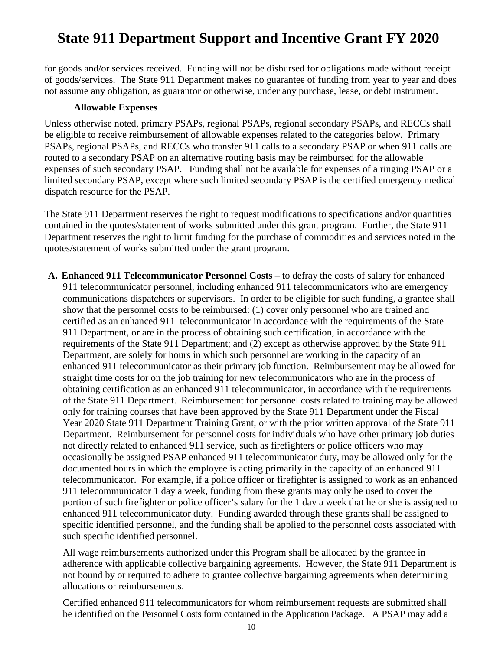for goods and/or services received. Funding will not be disbursed for obligations made without receipt of goods/services. The State 911 Department makes no guarantee of funding from year to year and does not assume any obligation, as guarantor or otherwise, under any purchase, lease, or debt instrument.

#### **Allowable Expenses**

Unless otherwise noted, primary PSAPs, regional PSAPs, regional secondary PSAPs, and RECCs shall be eligible to receive reimbursement of allowable expenses related to the categories below. Primary PSAPs, regional PSAPs, and RECCs who transfer 911 calls to a secondary PSAP or when 911 calls are routed to a secondary PSAP on an alternative routing basis may be reimbursed for the allowable expenses of such secondary PSAP. Funding shall not be available for expenses of a ringing PSAP or a limited secondary PSAP, except where such limited secondary PSAP is the certified emergency medical dispatch resource for the PSAP.

The State 911 Department reserves the right to request modifications to specifications and/or quantities contained in the quotes/statement of works submitted under this grant program. Further, the State 911 Department reserves the right to limit funding for the purchase of commodities and services noted in the quotes/statement of works submitted under the grant program.

**A. Enhanced 911 Telecommunicator Personnel Costs** – to defray the costs of salary for enhanced 911 telecommunicator personnel, including enhanced 911 telecommunicators who are emergency communications dispatchers or supervisors. In order to be eligible for such funding, a grantee shall show that the personnel costs to be reimbursed: (1) cover only personnel who are trained and certified as an enhanced 911 telecommunicator in accordance with the requirements of the State 911 Department, or are in the process of obtaining such certification, in accordance with the requirements of the State 911 Department; and (2) except as otherwise approved by the State 911 Department, are solely for hours in which such personnel are working in the capacity of an enhanced 911 telecommunicator as their primary job function. Reimbursement may be allowed for straight time costs for on the job training for new telecommunicators who are in the process of obtaining certification as an enhanced 911 telecommunicator, in accordance with the requirements of the State 911 Department. Reimbursement for personnel costs related to training may be allowed only for training courses that have been approved by the State 911 Department under the Fiscal Year 2020 State 911 Department Training Grant, or with the prior written approval of the State 911 Department. Reimbursement for personnel costs for individuals who have other primary job duties not directly related to enhanced 911 service, such as firefighters or police officers who may occasionally be assigned PSAP enhanced 911 telecommunicator duty, may be allowed only for the documented hours in which the employee is acting primarily in the capacity of an enhanced 911 telecommunicator. For example, if a police officer or firefighter is assigned to work as an enhanced 911 telecommunicator 1 day a week, funding from these grants may only be used to cover the portion of such firefighter or police officer's salary for the 1 day a week that he or she is assigned to enhanced 911 telecommunicator duty. Funding awarded through these grants shall be assigned to specific identified personnel, and the funding shall be applied to the personnel costs associated with such specific identified personnel.

All wage reimbursements authorized under this Program shall be allocated by the grantee in adherence with applicable collective bargaining agreements. However, the State 911 Department is not bound by or required to adhere to grantee collective bargaining agreements when determining allocations or reimbursements.

Certified enhanced 911 telecommunicators for whom reimbursement requests are submitted shall be identified on the Personnel Costs form contained in the Application Package. A PSAP may add a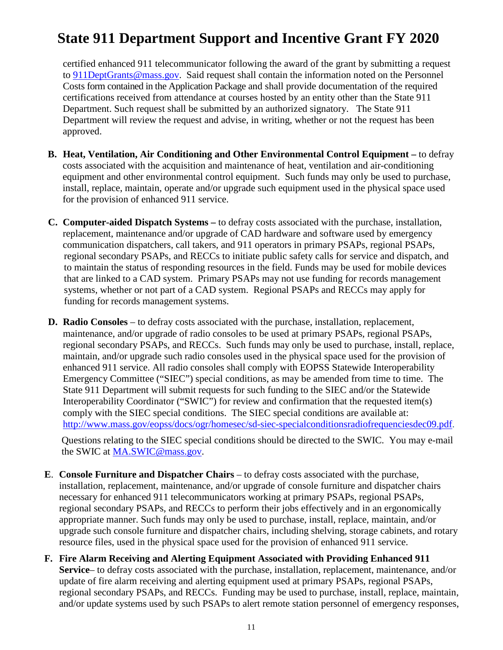certified enhanced 911 telecommunicator following the award of the grant by submitting a request to [911DeptGrants@mass.gov.](mailto:911DeptGrants@mass.gov) Said request shall contain the information noted on the Personnel Costs form contained in the Application Package and shall provide documentation of the required certifications received from attendance at courses hosted by an entity other than the State 911 Department. Such request shall be submitted by an authorized signatory. The State 911 Department will review the request and advise, in writing, whether or not the request has been approved.

- **B. Heat, Ventilation, Air Conditioning and Other Environmental Control Equipment –** to defray costs associated with the acquisition and maintenance of heat, ventilation and air-conditioning equipment and other environmental control equipment. Such funds may only be used to purchase, install, replace, maintain, operate and/or upgrade such equipment used in the physical space used for the provision of enhanced 911 service.
- **C. Computer-aided Dispatch Systems –** to defray costs associated with the purchase, installation, replacement, maintenance and/or upgrade of CAD hardware and software used by emergency communication dispatchers, call takers, and 911 operators in primary PSAPs, regional PSAPs, regional secondary PSAPs, and RECCs to initiate public safety calls for service and dispatch, and to maintain the status of responding resources in the field. Funds may be used for mobile devices that are linked to a CAD system. Primary PSAPs may not use funding for records management systems, whether or not part of a CAD system. Regional PSAPs and RECCs may apply for funding for records management systems.
- **D. Radio Consoles** to defray costs associated with the purchase, installation, replacement, maintenance, and/or upgrade of radio consoles to be used at primary PSAPs, regional PSAPs, regional secondary PSAPs, and RECCs. Such funds may only be used to purchase, install, replace, maintain, and/or upgrade such radio consoles used in the physical space used for the provision of enhanced 911 service. All radio consoles shall comply with EOPSS Statewide Interoperability Emergency Committee ("SIEC") special conditions, as may be amended from time to time. The State 911 Department will submit requests for such funding to the SIEC and/or the Statewide Interoperability Coordinator ("SWIC") for review and confirmation that the requested item(s) comply with the SIEC special conditions. The SIEC special conditions are available at: [http://www.mass.gov/eopss/docs/ogr/homesec/sd-siec-specialconditionsradiofrequenciesdec09.pdf.](http://www.mass.gov/eopss/docs/ogr/homesec/sd-siec-specialconditionsradiofrequenciesdec09.pdf)

Questions relating to the SIEC special conditions should be directed to the SWIC. You may e-mail the SWIC at [MA.SWIC@mass.gov.](mailto:MA.SWIC@mass.gov)

- **E**. **Console Furniture and Dispatcher Chairs**  to defray costs associated with the purchase, installation, replacement, maintenance, and/or upgrade of console furniture and dispatcher chairs necessary for enhanced 911 telecommunicators working at primary PSAPs, regional PSAPs, regional secondary PSAPs, and RECCs to perform their jobs effectively and in an ergonomically appropriate manner. Such funds may only be used to purchase, install, replace, maintain, and/or upgrade such console furniture and dispatcher chairs, including shelving, storage cabinets, and rotary resource files, used in the physical space used for the provision of enhanced 911 service.
- **F. Fire Alarm Receiving and Alerting Equipment Associated with Providing Enhanced 911 Service**– to defray costs associated with the purchase, installation, replacement, maintenance, and/or update of fire alarm receiving and alerting equipment used at primary PSAPs, regional PSAPs, regional secondary PSAPs, and RECCs. Funding may be used to purchase, install, replace, maintain, and/or update systems used by such PSAPs to alert remote station personnel of emergency responses,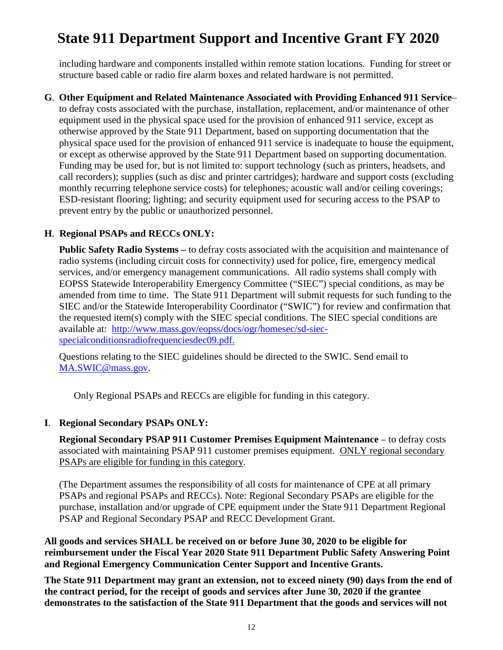including hardware and components installed within remote station locations. Funding for street or structure based cable or radio fire alarm boxes and related hardware is not permitted.

#### **G**. **Other Equipment and Related Maintenance Associated with Providing Enhanced 911 Service**–

to defray costs associated with the purchase, installation, replacement, and/or maintenance of other equipment used in the physical space used for the provision of enhanced 911 service, except as otherwise approved by the State 911 Department, based on supporting documentation that the physical space used for the provision of enhanced 911 service is inadequate to house the equipment, or except as otherwise approved by the State 911 Department based on supporting documentation. Funding may be used for, but is not limited to: support technology (such as printers, headsets, and call recorders); supplies (such as disc and printer cartridges); hardware and support costs (excluding monthly recurring telephone service costs) for telephones; acoustic wall and/or ceiling coverings; ESD-resistant flooring; lighting; and security equipment used for securing access to the PSAP to prevent entry by the public or unauthorized personnel.

#### **H**. **Regional PSAPs and RECCs ONLY:**

**Public Safety Radio Systems –** to defray costs associated with the acquisition and maintenance of radio systems (including circuit costs for connectivity) used for police, fire, emergency medical services, and/or emergency management communications. All radio systems shall comply with EOPSS Statewide Interoperability Emergency Committee ("SIEC") special conditions, as may be amended from time to time. The State 911 Department will submit requests for such funding to the SIEC and/or the Statewide Interoperability Coordinator ("SWIC") for review and confirmation that the requested item(s) comply with the SIEC special conditions. The SIEC special conditions are available at: [http://www.mass.gov/eopss/docs/ogr/homesec/sd-siec](http://www.mass.gov/eopss/docs/ogr/homesec/sd-siec-specialconditionsradiofrequenciesdec09.pdf)[specialconditionsradiofrequenciesdec09.pdf.](http://www.mass.gov/eopss/docs/ogr/homesec/sd-siec-specialconditionsradiofrequenciesdec09.pdf)

Questions relating to the SIEC guidelines should be directed to the SWIC. Send email to [MA.SWIC@mass.gov.](mailto:MA.SWIC@mass.gov)

Only Regional PSAPs and RECCs are eligible for funding in this category.

#### **I**. **Regional Secondary PSAPs ONLY:**

**Regional Secondary PSAP 911 Customer Premises Equipment Maintenance** – to defray costs associated with maintaining PSAP 911 customer premises equipment. ONLY regional secondary PSAPs are eligible for funding in this category.

(The Department assumes the responsibility of all costs for maintenance of CPE at all primary PSAPs and regional PSAPs and RECCs). Note: Regional Secondary PSAPs are eligible for the purchase, installation and/or upgrade of CPE equipment under the State 911 Department Regional PSAP and Regional Secondary PSAP and RECC Development Grant.

**All goods and services SHALL be received on or before June 30, 2020 to be eligible for reimbursement under the Fiscal Year 2020 State 911 Department Public Safety Answering Point and Regional Emergency Communication Center Support and Incentive Grants.**

**The State 911 Department may grant an extension, not to exceed ninety (90) days from the end of the contract period, for the receipt of goods and services after June 30, 2020 if the grantee demonstrates to the satisfaction of the State 911 Department that the goods and services will not**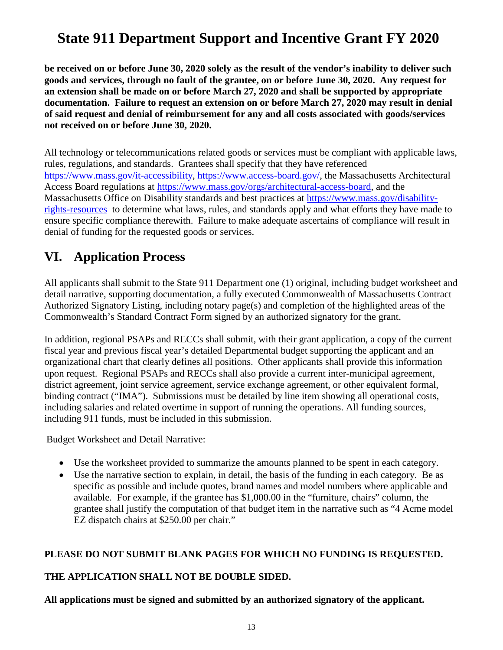**be received on or before June 30, 2020 solely as the result of the vendor's inability to deliver such goods and services, through no fault of the grantee, on or before June 30, 2020. Any request for an extension shall be made on or before March 27, 2020 and shall be supported by appropriate documentation. Failure to request an extension on or before March 27, 2020 may result in denial of said request and denial of reimbursement for any and all costs associated with goods/services not received on or before June 30, 2020.**

All technology or telecommunications related goods or services must be compliant with applicable laws, rules, regulations, and standards. Grantees shall specify that they have referenced [https://www.mass.gov/it-accessibility,](https://www.mass.gov/it-accessibility) [https://www.access-board.gov/,](https://www.access-board.gov/) the Massachusetts Architectural Access Board regulations at [https://www.mass.gov/orgs/architectural-access-board,](https://www.mass.gov/orgs/architectural-access-board) and the Massachusetts Office on Disability standards and best practices at [https://www.mass.gov/disability](https://www.mass.gov/disability-rights-resources)[rights-resources](https://www.mass.gov/disability-rights-resources) to determine what laws, rules, and standards apply and what efforts they have made to ensure specific compliance therewith. Failure to make adequate ascertains of compliance will result in denial of funding for the requested goods or services.

### <span id="page-12-0"></span>**VI. Application Process**

All applicants shall submit to the State 911 Department one (1) original, including budget worksheet and detail narrative, supporting documentation, a fully executed Commonwealth of Massachusetts Contract Authorized Signatory Listing, including notary page(s) and completion of the highlighted areas of the Commonwealth's Standard Contract Form signed by an authorized signatory for the grant.

In addition, regional PSAPs and RECCs shall submit, with their grant application, a copy of the current fiscal year and previous fiscal year's detailed Departmental budget supporting the applicant and an organizational chart that clearly defines all positions. Other applicants shall provide this information upon request. Regional PSAPs and RECCs shall also provide a current inter-municipal agreement, district agreement, joint service agreement, service exchange agreement, or other equivalent formal, binding contract ("IMA"). Submissions must be detailed by line item showing all operational costs, including salaries and related overtime in support of running the operations. All funding sources, including 911 funds, must be included in this submission.

#### Budget Worksheet and Detail Narrative:

- Use the worksheet provided to summarize the amounts planned to be spent in each category.
- Use the narrative section to explain, in detail, the basis of the funding in each category. Be as specific as possible and include quotes, brand names and model numbers where applicable and available. For example, if the grantee has \$1,000.00 in the "furniture, chairs" column, the grantee shall justify the computation of that budget item in the narrative such as "4 Acme model EZ dispatch chairs at \$250.00 per chair."

#### **PLEASE DO NOT SUBMIT BLANK PAGES FOR WHICH NO FUNDING IS REQUESTED.**

#### **THE APPLICATION SHALL NOT BE DOUBLE SIDED.**

**All applications must be signed and submitted by an authorized signatory of the applicant.**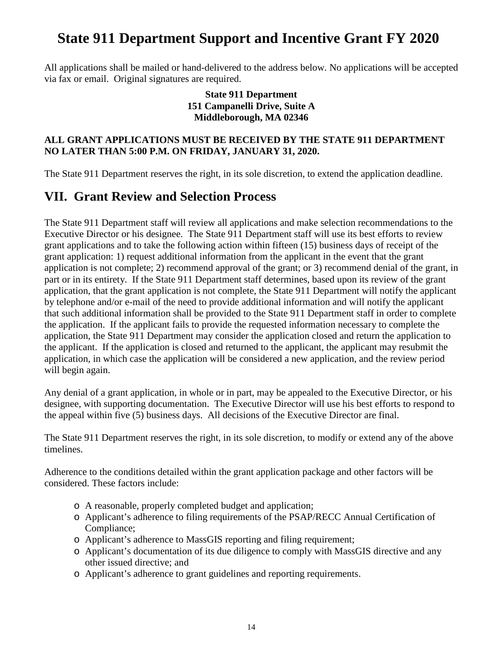All applications shall be mailed or hand-delivered to the address below. No applications will be accepted via fax or email. Original signatures are required.

#### **State 911 Department 151 Campanelli Drive, Suite A Middleborough, MA 02346**

#### **ALL GRANT APPLICATIONS MUST BE RECEIVED BY THE STATE 911 DEPARTMENT NO LATER THAN 5:00 P.M. ON FRIDAY, JANUARY 31, 2020.**

The State 911 Department reserves the right, in its sole discretion, to extend the application deadline.

#### <span id="page-13-0"></span>**VII. Grant Review and Selection Process**

The State 911 Department staff will review all applications and make selection recommendations to the Executive Director or his designee. The State 911 Department staff will use its best efforts to review grant applications and to take the following action within fifteen (15) business days of receipt of the grant application: 1) request additional information from the applicant in the event that the grant application is not complete; 2) recommend approval of the grant; or 3) recommend denial of the grant, in part or in its entirety. If the State 911 Department staff determines, based upon its review of the grant application, that the grant application is not complete, the State 911 Department will notify the applicant by telephone and/or e-mail of the need to provide additional information and will notify the applicant that such additional information shall be provided to the State 911 Department staff in order to complete the application. If the applicant fails to provide the requested information necessary to complete the application, the State 911 Department may consider the application closed and return the application to the applicant. If the application is closed and returned to the applicant, the applicant may resubmit the application, in which case the application will be considered a new application, and the review period will begin again.

Any denial of a grant application, in whole or in part, may be appealed to the Executive Director, or his designee, with supporting documentation. The Executive Director will use his best efforts to respond to the appeal within five (5) business days. All decisions of the Executive Director are final.

The State 911 Department reserves the right, in its sole discretion, to modify or extend any of the above timelines.

Adherence to the conditions detailed within the grant application package and other factors will be considered. These factors include:

- o A reasonable, properly completed budget and application;
- o Applicant's adherence to filing requirements of the PSAP/RECC Annual Certification of Compliance;
- o Applicant's adherence to MassGIS reporting and filing requirement;
- o Applicant's documentation of its due diligence to comply with MassGIS directive and any other issued directive; and
- o Applicant's adherence to grant guidelines and reporting requirements.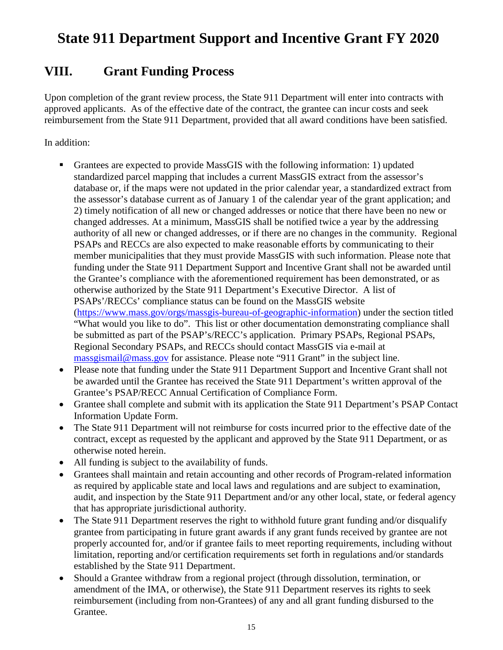#### <span id="page-14-0"></span>**VIII. Grant Funding Process**

Upon completion of the grant review process, the State 911 Department will enter into contracts with approved applicants. As of the effective date of the contract, the grantee can incur costs and seek reimbursement from the State 911 Department, provided that all award conditions have been satisfied.

In addition:

- Grantees are expected to provide MassGIS with the following information: 1) updated standardized parcel mapping that includes a current MassGIS extract from the assessor's database or, if the maps were not updated in the prior calendar year, a standardized extract from the assessor's database current as of January 1 of the calendar year of the grant application; and 2) timely notification of all new or changed addresses or notice that there have been no new or changed addresses. At a minimum, MassGIS shall be notified twice a year by the addressing authority of all new or changed addresses, or if there are no changes in the community. Regional PSAPs and RECCs are also expected to make reasonable efforts by communicating to their member municipalities that they must provide MassGIS with such information. Please note that funding under the State 911 Department Support and Incentive Grant shall not be awarded until the Grantee's compliance with the aforementioned requirement has been demonstrated, or as otherwise authorized by the State 911 Department's Executive Director. A list of PSAPs'/RECCs' compliance status can be found on the MassGIS website [\(https://www.mass.gov/orgs/massgis-bureau-of-geographic-information\)](https://www.mass.gov/orgs/massgis-bureau-of-geographic-information) under the section titled "What would you like to do". This list or other documentation demonstrating compliance shall be submitted as part of the PSAP's/RECC's application. Primary PSAPs, Regional PSAPs, Regional Secondary PSAPs, and RECCs should contact MassGIS via e-mail at [massgismail@mass.gov](mailto:massgismail@mass.gov) for assistance. Please note "911 Grant" in the subject line.
- Please note that funding under the State 911 Department Support and Incentive Grant shall not be awarded until the Grantee has received the State 911 Department's written approval of the Grantee's PSAP/RECC Annual Certification of Compliance Form.
- Grantee shall complete and submit with its application the State 911 Department's PSAP Contact Information Update Form.
- The State 911 Department will not reimburse for costs incurred prior to the effective date of the contract, except as requested by the applicant and approved by the State 911 Department, or as otherwise noted herein.
- All funding is subject to the availability of funds.
- Grantees shall maintain and retain accounting and other records of Program-related information as required by applicable state and local laws and regulations and are subject to examination, audit, and inspection by the State 911 Department and/or any other local, state, or federal agency that has appropriate jurisdictional authority.
- The State 911 Department reserves the right to withhold future grant funding and/or disqualify grantee from participating in future grant awards if any grant funds received by grantee are not properly accounted for, and/or if grantee fails to meet reporting requirements, including without limitation, reporting and/or certification requirements set forth in regulations and/or standards established by the State 911 Department.
- Should a Grantee withdraw from a regional project (through dissolution, termination, or amendment of the IMA, or otherwise), the State 911 Department reserves its rights to seek reimbursement (including from non-Grantees) of any and all grant funding disbursed to the Grantee.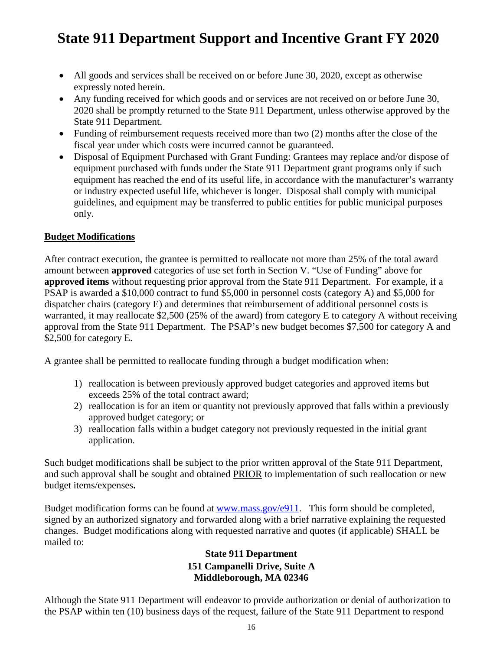- All goods and services shall be received on or before June 30, 2020, except as otherwise expressly noted herein.
- Any funding received for which goods and or services are not received on or before June 30, 2020 shall be promptly returned to the State 911 Department, unless otherwise approved by the State 911 Department.
- Funding of reimbursement requests received more than two (2) months after the close of the fiscal year under which costs were incurred cannot be guaranteed.
- Disposal of Equipment Purchased with Grant Funding: Grantees may replace and/or dispose of equipment purchased with funds under the State 911 Department grant programs only if such equipment has reached the end of its useful life, in accordance with the manufacturer's warranty or industry expected useful life, whichever is longer. Disposal shall comply with municipal guidelines, and equipment may be transferred to public entities for public municipal purposes only.

#### **Budget Modifications**

After contract execution, the grantee is permitted to reallocate not more than 25% of the total award amount between **approved** categories of use set forth in Section V. "Use of Funding" above for **approved items** without requesting prior approval from the State 911 Department. For example, if a PSAP is awarded a \$10,000 contract to fund \$5,000 in personnel costs (category A) and \$5,000 for dispatcher chairs (category E) and determines that reimbursement of additional personnel costs is warranted, it may reallocate \$2,500 (25% of the award) from category E to category A without receiving approval from the State 911 Department. The PSAP's new budget becomes \$7,500 for category A and \$2,500 for category E.

A grantee shall be permitted to reallocate funding through a budget modification when:

- 1) reallocation is between previously approved budget categories and approved items but exceeds 25% of the total contract award;
- 2) reallocation is for an item or quantity not previously approved that falls within a previously approved budget category; or
- 3) reallocation falls within a budget category not previously requested in the initial grant application.

Such budget modifications shall be subject to the prior written approval of the State 911 Department, and such approval shall be sought and obtained PRIOR to implementation of such reallocation or new budget items/expenses**.** 

Budget modification forms can be found at [www.mass.gov/e911.](http://www.mass.gov/e911) This form should be completed, signed by an authorized signatory and forwarded along with a brief narrative explaining the requested changes. Budget modifications along with requested narrative and quotes (if applicable) SHALL be mailed to:

#### **State 911 Department 151 Campanelli Drive, Suite A Middleborough, MA 02346**

Although the State 911 Department will endeavor to provide authorization or denial of authorization to the PSAP within ten (10) business days of the request, failure of the State 911 Department to respond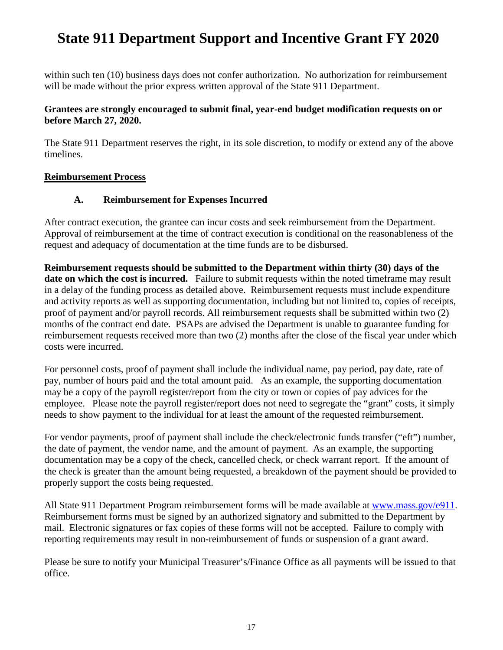within such ten (10) business days does not confer authorization. No authorization for reimbursement will be made without the prior express written approval of the State 911 Department.

#### **Grantees are strongly encouraged to submit final, year-end budget modification requests on or before March 27, 2020.**

The State 911 Department reserves the right, in its sole discretion, to modify or extend any of the above timelines.

#### **Reimbursement Process**

#### **A. Reimbursement for Expenses Incurred**

After contract execution, the grantee can incur costs and seek reimbursement from the Department. Approval of reimbursement at the time of contract execution is conditional on the reasonableness of the request and adequacy of documentation at the time funds are to be disbursed.

**Reimbursement requests should be submitted to the Department within thirty (30) days of the date on which the cost is incurred.** Failure to submit requests within the noted timeframe may result in a delay of the funding process as detailed above. Reimbursement requests must include expenditure and activity reports as well as supporting documentation, including but not limited to, copies of receipts, proof of payment and/or payroll records. All reimbursement requests shall be submitted within two (2) months of the contract end date. PSAPs are advised the Department is unable to guarantee funding for reimbursement requests received more than two (2) months after the close of the fiscal year under which costs were incurred.

For personnel costs, proof of payment shall include the individual name, pay period, pay date, rate of pay, number of hours paid and the total amount paid. As an example, the supporting documentation may be a copy of the payroll register/report from the city or town or copies of pay advices for the employee. Please note the payroll register/report does not need to segregate the "grant" costs, it simply needs to show payment to the individual for at least the amount of the requested reimbursement.

For vendor payments, proof of payment shall include the check/electronic funds transfer ("eft") number, the date of payment, the vendor name, and the amount of payment. As an example, the supporting documentation may be a copy of the check, cancelled check, or check warrant report. If the amount of the check is greater than the amount being requested, a breakdown of the payment should be provided to properly support the costs being requested.

All State 911 Department Program reimbursement forms will be made available at [www.mass.gov/e911.](http://www.mass.gov/e911) Reimbursement forms must be signed by an authorized signatory and submitted to the Department by mail. Electronic signatures or fax copies of these forms will not be accepted. Failure to comply with reporting requirements may result in non-reimbursement of funds or suspension of a grant award.

Please be sure to notify your Municipal Treasurer's/Finance Office as all payments will be issued to that office.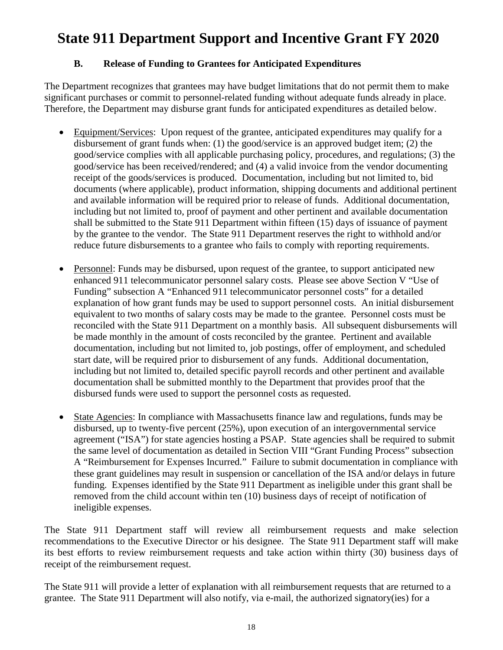#### **B. Release of Funding to Grantees for Anticipated Expenditures**

The Department recognizes that grantees may have budget limitations that do not permit them to make significant purchases or commit to personnel-related funding without adequate funds already in place. Therefore, the Department may disburse grant funds for anticipated expenditures as detailed below.

- Equipment/Services: Upon request of the grantee, anticipated expenditures may qualify for a disbursement of grant funds when: (1) the good/service is an approved budget item; (2) the good/service complies with all applicable purchasing policy, procedures, and regulations; (3) the good/service has been received/rendered; and (4) a valid invoice from the vendor documenting receipt of the goods/services is produced. Documentation, including but not limited to, bid documents (where applicable), product information, shipping documents and additional pertinent and available information will be required prior to release of funds. Additional documentation, including but not limited to, proof of payment and other pertinent and available documentation shall be submitted to the State 911 Department within fifteen (15) days of issuance of payment by the grantee to the vendor. The State 911 Department reserves the right to withhold and/or reduce future disbursements to a grantee who fails to comply with reporting requirements.
- Personnel: Funds may be disbursed, upon request of the grantee, to support anticipated new enhanced 911 telecommunicator personnel salary costs. Please see above Section V "Use of Funding" subsection A "Enhanced 911 telecommunicator personnel costs" for a detailed explanation of how grant funds may be used to support personnel costs. An initial disbursement equivalent to two months of salary costs may be made to the grantee. Personnel costs must be reconciled with the State 911 Department on a monthly basis. All subsequent disbursements will be made monthly in the amount of costs reconciled by the grantee. Pertinent and available documentation, including but not limited to, job postings, offer of employment, and scheduled start date, will be required prior to disbursement of any funds. Additional documentation, including but not limited to, detailed specific payroll records and other pertinent and available documentation shall be submitted monthly to the Department that provides proof that the disbursed funds were used to support the personnel costs as requested.
- State Agencies: In compliance with Massachusetts finance law and regulations, funds may be disbursed, up to twenty-five percent (25%), upon execution of an intergovernmental service agreement ("ISA") for state agencies hosting a PSAP. State agencies shall be required to submit the same level of documentation as detailed in Section VIII "Grant Funding Process" subsection A "Reimbursement for Expenses Incurred." Failure to submit documentation in compliance with these grant guidelines may result in suspension or cancellation of the ISA and/or delays in future funding. Expenses identified by the State 911 Department as ineligible under this grant shall be removed from the child account within ten (10) business days of receipt of notification of ineligible expenses.

The State 911 Department staff will review all reimbursement requests and make selection recommendations to the Executive Director or his designee. The State 911 Department staff will make its best efforts to review reimbursement requests and take action within thirty (30) business days of receipt of the reimbursement request.

The State 911 will provide a letter of explanation with all reimbursement requests that are returned to a grantee. The State 911 Department will also notify, via e-mail, the authorized signatory(ies) for a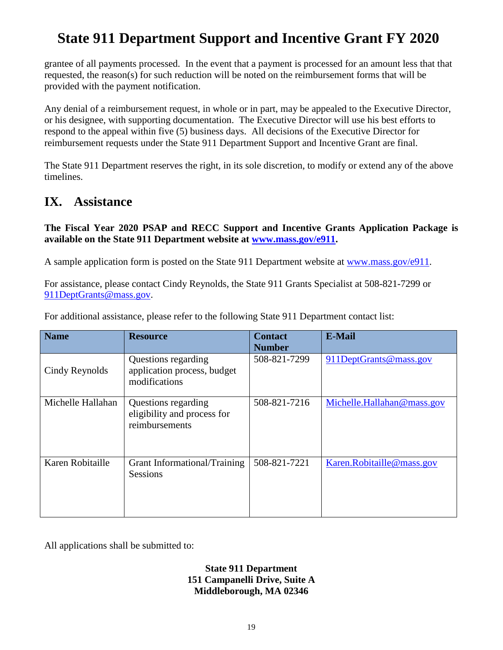grantee of all payments processed. In the event that a payment is processed for an amount less that that requested, the reason(s) for such reduction will be noted on the reimbursement forms that will be provided with the payment notification.

Any denial of a reimbursement request, in whole or in part, may be appealed to the Executive Director, or his designee, with supporting documentation. The Executive Director will use his best efforts to respond to the appeal within five (5) business days. All decisions of the Executive Director for reimbursement requests under the State 911 Department Support and Incentive Grant are final.

The State 911 Department reserves the right, in its sole discretion, to modify or extend any of the above timelines.

#### <span id="page-18-0"></span>**IX. Assistance**

**The Fiscal Year 2020 PSAP and RECC Support and Incentive Grants Application Package is available on the State 911 Department website at [www.mass.gov/e911.](http://www.mass.gov/e911)**

A sample application form is posted on the State 911 Department website at [www.mass.gov/e911.](http://www.mass.gov/e911)

For assistance, please contact Cindy Reynolds, the State 911 Grants Specialist at 508-821-7299 or [911DeptGrants@mass.gov.](mailto:911DeptGrants@mass.gov)

| <b>Name</b>       | <b>Resource</b>                                                      | <b>Contact</b><br><b>Number</b> | E-Mail                     |
|-------------------|----------------------------------------------------------------------|---------------------------------|----------------------------|
| Cindy Reynolds    | Questions regarding<br>application process, budget<br>modifications  | 508-821-7299                    | 911DeptGrants@mass.gov     |
| Michelle Hallahan | Questions regarding<br>eligibility and process for<br>reimbursements | 508-821-7216                    | Michelle.Hallahan@mass.gov |
| Karen Robitaille  | Grant Informational/Training<br><b>Sessions</b>                      | 508-821-7221                    | Karen.Robitaille@mass.gov  |

For additional assistance, please refer to the following State 911 Department contact list:

All applications shall be submitted to:

**State 911 Department 151 Campanelli Drive, Suite A Middleborough, MA 02346**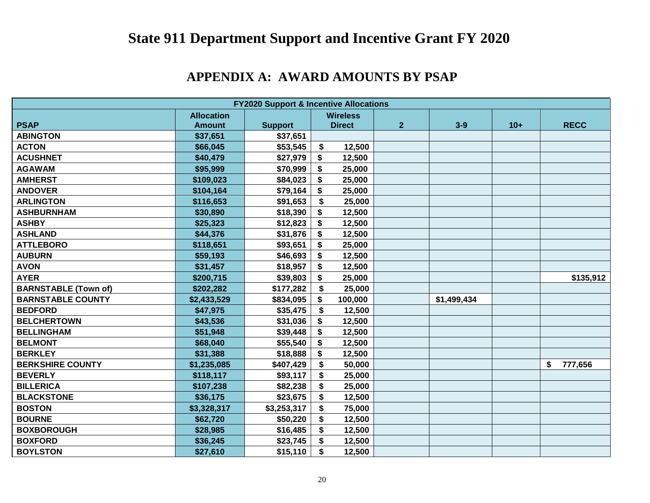### **APPENDIX A: AWARD AMOUNTS BY PSAP**

<span id="page-19-0"></span>

| <b>FY2020 Support &amp; Incentive Allocations</b> |                   |                |                           |               |                |             |       |    |             |  |
|---------------------------------------------------|-------------------|----------------|---------------------------|---------------|----------------|-------------|-------|----|-------------|--|
|                                                   | <b>Allocation</b> |                | <b>Wireless</b>           |               |                |             |       |    |             |  |
| <b>PSAP</b>                                       | <b>Amount</b>     | <b>Support</b> |                           | <b>Direct</b> | $\overline{2}$ | $3-9$       | $10+$ |    | <b>RECC</b> |  |
| <b>ABINGTON</b>                                   | \$37,651          | \$37,651       |                           |               |                |             |       |    |             |  |
| <b>ACTON</b>                                      | \$66,045          | \$53,545       | \$                        | 12,500        |                |             |       |    |             |  |
| <b>ACUSHNET</b>                                   | \$40,479          | \$27,979       | \$                        | 12,500        |                |             |       |    |             |  |
| <b>AGAWAM</b>                                     | \$95,999          | \$70,999       | \$                        | 25,000        |                |             |       |    |             |  |
| <b>AMHERST</b>                                    | \$109,023         | \$84,023       | \$                        | 25,000        |                |             |       |    |             |  |
| <b>ANDOVER</b>                                    | \$104,164         | \$79,164       | \$                        | 25,000        |                |             |       |    |             |  |
| <b>ARLINGTON</b>                                  | \$116,653         | \$91,653       | \$                        | 25,000        |                |             |       |    |             |  |
| <b>ASHBURNHAM</b>                                 | \$30,890          | \$18,390       | \$                        | 12,500        |                |             |       |    |             |  |
| <b>ASHBY</b>                                      | \$25,323          | \$12,823       | \$                        | 12,500        |                |             |       |    |             |  |
| <b>ASHLAND</b>                                    | \$44,376          | \$31,876       | \$                        | 12,500        |                |             |       |    |             |  |
| <b>ATTLEBORO</b>                                  | \$118,651         | \$93,651       | \$                        | 25,000        |                |             |       |    |             |  |
| <b>AUBURN</b>                                     | \$59,193          | \$46,693       | \$                        | 12,500        |                |             |       |    |             |  |
| <b>AVON</b>                                       | \$31,457          | \$18,957       | \$                        | 12,500        |                |             |       |    |             |  |
| <b>AYER</b>                                       | \$200,715         | \$39,803       | \$                        | 25,000        |                |             |       |    | \$135,912   |  |
| <b>BARNSTABLE (Town of)</b>                       | \$202,282         | \$177,282      | $\mathbf{\hat{s}}$        | 25,000        |                |             |       |    |             |  |
| <b>BARNSTABLE COUNTY</b>                          | \$2,433,529       | \$834,095      | \$                        | 100,000       |                | \$1,499,434 |       |    |             |  |
| <b>BEDFORD</b>                                    | \$47,975          | \$35,475       | \$                        | 12,500        |                |             |       |    |             |  |
| <b>BELCHERTOWN</b>                                | \$43,536          | \$31,036       | \$                        | 12,500        |                |             |       |    |             |  |
| <b>BELLINGHAM</b>                                 | \$51,948          | \$39,448       | \$                        | 12,500        |                |             |       |    |             |  |
| <b>BELMONT</b>                                    | \$68,040          | \$55,540       | \$                        | 12,500        |                |             |       |    |             |  |
| <b>BERKLEY</b>                                    | \$31,388          | \$18,888       | \$                        | 12,500        |                |             |       |    |             |  |
| <b>BERKSHIRE COUNTY</b>                           | \$1,235,085       | \$407,429      | \$                        | 50,000        |                |             |       | \$ | 777,656     |  |
| <b>BEVERLY</b>                                    | \$118,117         | \$93,117       | \$                        | 25,000        |                |             |       |    |             |  |
| <b>BILLERICA</b>                                  | \$107,238         | \$82,238       | \$                        | 25,000        |                |             |       |    |             |  |
| <b>BLACKSTONE</b>                                 | \$36,175          | \$23,675       | \$                        | 12,500        |                |             |       |    |             |  |
| <b>BOSTON</b>                                     | \$3,328,317       | \$3,253,317    | \$                        | 75,000        |                |             |       |    |             |  |
| <b>BOURNE</b>                                     | \$62,720          | \$50,220       | \$                        | 12,500        |                |             |       |    |             |  |
| <b>BOXBOROUGH</b>                                 | \$28,985          | \$16,485       | $\boldsymbol{\mathsf{s}}$ | 12,500        |                |             |       |    |             |  |
| <b>BOXFORD</b>                                    | \$36,245          | \$23,745       | \$                        | 12,500        |                |             |       |    |             |  |
| <b>BOYLSTON</b>                                   | \$27,610          | \$15,110       | \$                        | 12,500        |                |             |       |    |             |  |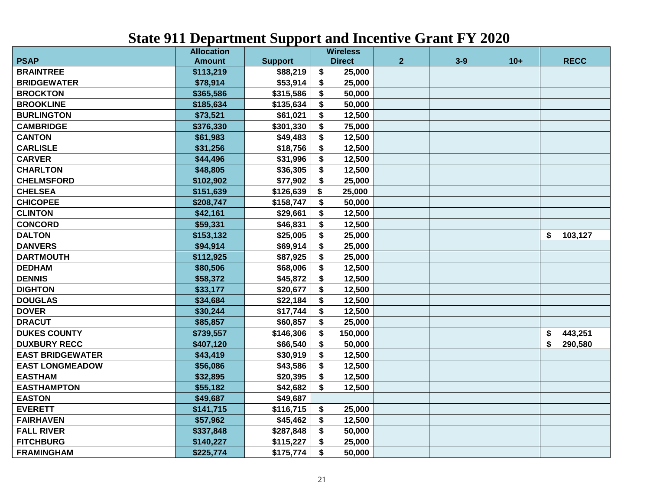|                         | <b>Allocation</b> |                | <b>Wireless</b> |                |         |       |               |
|-------------------------|-------------------|----------------|-----------------|----------------|---------|-------|---------------|
| <b>PSAP</b>             | <b>Amount</b>     | <b>Support</b> | <b>Direct</b>   | 2 <sup>1</sup> | $3 - 9$ | $10+$ | <b>RECC</b>   |
| <b>BRAINTREE</b>        | \$113,219         | \$88,219       | \$<br>25,000    |                |         |       |               |
| <b>BRIDGEWATER</b>      | \$78,914          | \$53,914       | \$<br>25,000    |                |         |       |               |
| <b>BROCKTON</b>         | \$365,586         | \$315,586      | \$<br>50,000    |                |         |       |               |
| <b>BROOKLINE</b>        | \$185,634         | \$135,634      | \$<br>50,000    |                |         |       |               |
| <b>BURLINGTON</b>       | \$73,521          | \$61,021       | \$<br>12,500    |                |         |       |               |
| <b>CAMBRIDGE</b>        | \$376,330         | \$301,330      | \$<br>75,000    |                |         |       |               |
| <b>CANTON</b>           | \$61,983          | \$49,483       | 12,500<br>\$    |                |         |       |               |
| <b>CARLISLE</b>         | \$31,256          | \$18,756       | 12,500<br>\$    |                |         |       |               |
| <b>CARVER</b>           | \$44,496          | \$31,996       | 12,500<br>\$    |                |         |       |               |
| <b>CHARLTON</b>         | \$48,805          | \$36,305       | \$<br>12,500    |                |         |       |               |
| <b>CHELMSFORD</b>       | \$102,902         | \$77,902       | 25,000<br>\$    |                |         |       |               |
| <b>CHELSEA</b>          | \$151,639         | \$126,639      | 25,000<br>\$    |                |         |       |               |
| <b>CHICOPEE</b>         | \$208,747         | \$158,747      | 50,000<br>S     |                |         |       |               |
| <b>CLINTON</b>          | \$42,161          | \$29,661       | 12,500<br>S     |                |         |       |               |
| <b>CONCORD</b>          | \$59,331          | \$46,831       | 12,500<br>S     |                |         |       |               |
| <b>DALTON</b>           | \$153,132         | \$25,005       | \$<br>25,000    |                |         |       | \$<br>103,127 |
| <b>DANVERS</b>          | \$94,914          | \$69,914       | \$<br>25,000    |                |         |       |               |
| <b>DARTMOUTH</b>        | \$112,925         | \$87,925       | \$<br>25,000    |                |         |       |               |
| <b>DEDHAM</b>           | \$80,506          | \$68,006       | 12,500<br>\$    |                |         |       |               |
| <b>DENNIS</b>           | \$58,372          | \$45,872       | \$<br>12,500    |                |         |       |               |
| <b>DIGHTON</b>          | \$33,177          | \$20,677       | \$<br>12,500    |                |         |       |               |
| <b>DOUGLAS</b>          | \$34,684          | \$22,184       | 12,500<br>\$    |                |         |       |               |
| <b>DOVER</b>            | \$30,244          | \$17,744       | 12,500<br>\$    |                |         |       |               |
| <b>DRACUT</b>           | \$85,857          | \$60,857       | \$<br>25,000    |                |         |       |               |
| <b>DUKES COUNTY</b>     | \$739,557         | \$146,306      | 150,000<br>\$   |                |         |       | 443,251<br>\$ |
| <b>DUXBURY RECC</b>     | \$407,120         | \$66,540       | \$<br>50,000    |                |         |       | \$<br>290,580 |
| <b>EAST BRIDGEWATER</b> | \$43,419          | \$30,919       | \$<br>12,500    |                |         |       |               |
| <b>EAST LONGMEADOW</b>  | \$56,086          | \$43,586       | \$<br>12,500    |                |         |       |               |
| <b>EASTHAM</b>          | \$32,895          | \$20,395       | \$<br>12,500    |                |         |       |               |
| <b>EASTHAMPTON</b>      | \$55,182          | \$42,682       | \$<br>12,500    |                |         |       |               |
| <b>EASTON</b>           | \$49,687          | \$49,687       |                 |                |         |       |               |
| <b>EVERETT</b>          | \$141,715         | \$116,715      | \$<br>25,000    |                |         |       |               |
| <b>FAIRHAVEN</b>        | \$57,962          | \$45,462       | \$<br>12,500    |                |         |       |               |
| <b>FALL RIVER</b>       | \$337,848         | \$287,848      | \$<br>50,000    |                |         |       |               |
| <b>FITCHBURG</b>        | \$140,227         | \$115,227      | \$<br>25,000    |                |         |       |               |
| <b>FRAMINGHAM</b>       | \$225,774         | \$175,774      | \$<br>50,000    |                |         |       |               |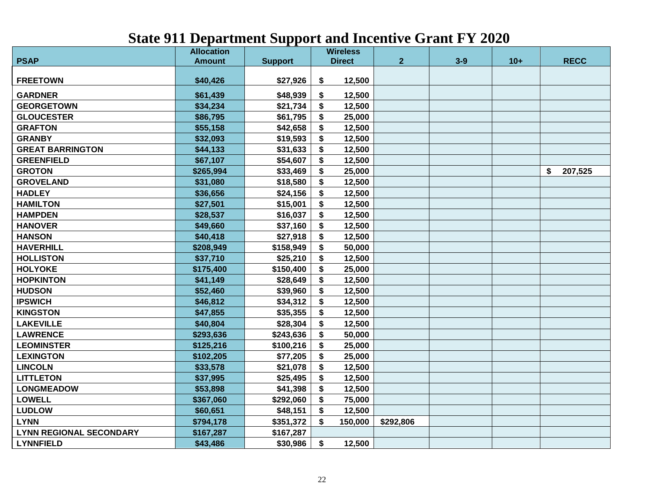|                                | <b>Allocation</b> |                | <b>Wireless</b> |                |         |       |               |
|--------------------------------|-------------------|----------------|-----------------|----------------|---------|-------|---------------|
| <b>PSAP</b>                    | <b>Amount</b>     | <b>Support</b> | <b>Direct</b>   | $\overline{2}$ | $3 - 9$ | $10+$ | <b>RECC</b>   |
| <b>FREETOWN</b>                | \$40,426          | \$27,926       | \$<br>12,500    |                |         |       |               |
| <b>GARDNER</b>                 | \$61,439          | \$48,939       | \$<br>12,500    |                |         |       |               |
| <b>GEORGETOWN</b>              | \$34,234          | \$21,734       | \$<br>12,500    |                |         |       |               |
| <b>GLOUCESTER</b>              | \$86,795          | \$61,795       | \$<br>25,000    |                |         |       |               |
| <b>GRAFTON</b>                 | \$55,158          | \$42,658       | 12,500<br>\$    |                |         |       |               |
| <b>GRANBY</b>                  | \$32,093          | \$19,593       | \$<br>12,500    |                |         |       |               |
| <b>GREAT BARRINGTON</b>        | \$44,133          | \$31,633       | \$<br>12,500    |                |         |       |               |
| <b>GREENFIELD</b>              | \$67,107          | \$54,607       | \$<br>12,500    |                |         |       |               |
| <b>GROTON</b>                  | \$265,994         | \$33,469       | 25,000<br>\$    |                |         |       | \$<br>207,525 |
| <b>GROVELAND</b>               | \$31,080          | \$18,580       | 12,500<br>S     |                |         |       |               |
| <b>HADLEY</b>                  | \$36,656          | \$24,156       | \$<br>12,500    |                |         |       |               |
| <b>HAMILTON</b>                | \$27,501          | \$15,001       | 12,500<br>S     |                |         |       |               |
| <b>HAMPDEN</b>                 | \$28,537          | \$16,037       | 12,500<br>\$    |                |         |       |               |
| <b>HANOVER</b>                 | \$49,660          | \$37,160       | 12,500<br>\$    |                |         |       |               |
| <b>HANSON</b>                  | \$40,418          | \$27,918       | \$<br>12,500    |                |         |       |               |
| <b>HAVERHILL</b>               | \$208,949         | \$158,949      | \$<br>50,000    |                |         |       |               |
| <b>HOLLISTON</b>               | \$37,710          | \$25,210       | \$<br>12,500    |                |         |       |               |
| <b>HOLYOKE</b>                 | \$175,400         | \$150,400      | \$<br>25,000    |                |         |       |               |
| <b>HOPKINTON</b>               | \$41,149          | \$28,649       | 12,500<br>\$    |                |         |       |               |
| <b>HUDSON</b>                  | \$52,460          | \$39,960       | \$<br>12,500    |                |         |       |               |
| <b>IPSWICH</b>                 | \$46,812          | \$34,312       | \$<br>12,500    |                |         |       |               |
| <b>KINGSTON</b>                | \$47,855          | \$35,355       | \$<br>12,500    |                |         |       |               |
| <b>LAKEVILLE</b>               | \$40,804          | \$28,304       | \$<br>12,500    |                |         |       |               |
| <b>LAWRENCE</b>                | \$293,636         | \$243,636      | \$<br>50,000    |                |         |       |               |
| <b>LEOMINSTER</b>              | \$125,216         | \$100,216      | \$<br>25,000    |                |         |       |               |
| <b>LEXINGTON</b>               | \$102,205         | \$77,205       | \$<br>25,000    |                |         |       |               |
| <b>LINCOLN</b>                 | \$33,578          | \$21,078       | \$<br>12,500    |                |         |       |               |
| <b>LITTLETON</b>               | \$37,995          | \$25,495       | \$<br>12,500    |                |         |       |               |
| <b>LONGMEADOW</b>              | \$53,898          | \$41,398       | \$<br>12,500    |                |         |       |               |
| <b>LOWELL</b>                  | \$367,060         | \$292,060      | \$<br>75,000    |                |         |       |               |
| <b>LUDLOW</b>                  | \$60,651          | \$48,151       | \$<br>12,500    |                |         |       |               |
| <b>LYNN</b>                    | \$794,178         | \$351,372      | \$<br>150,000   | \$292,806      |         |       |               |
| <b>LYNN REGIONAL SECONDARY</b> | \$167,287         | \$167,287      |                 |                |         |       |               |
| <b>LYNNFIELD</b>               | \$43,486          | \$30,986       | \$<br>12,500    |                |         |       |               |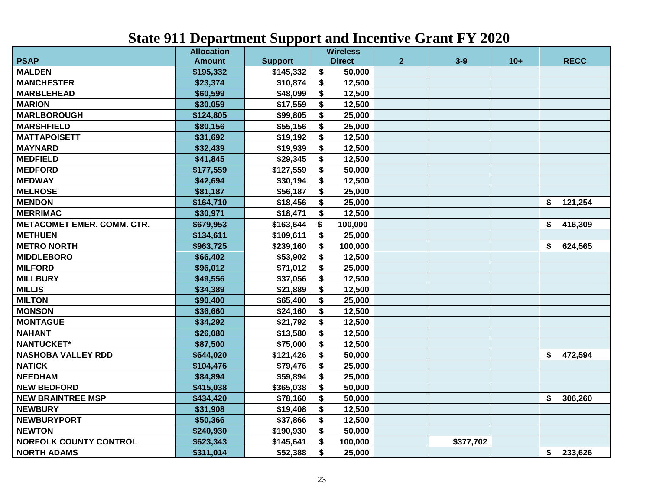|                                   | <b>Allocation</b> |                |    | <b>Wireless</b> |                |           |       |               |
|-----------------------------------|-------------------|----------------|----|-----------------|----------------|-----------|-------|---------------|
| <b>PSAP</b>                       | <b>Amount</b>     | <b>Support</b> |    | <b>Direct</b>   | $\overline{2}$ | $3 - 9$   | $10+$ | <b>RECC</b>   |
| <b>MALDEN</b>                     | \$195,332         | \$145,332      | \$ | 50,000          |                |           |       |               |
| <b>MANCHESTER</b>                 | \$23,374          | \$10,874       | \$ | 12,500          |                |           |       |               |
| <b>MARBLEHEAD</b>                 | \$60,599          | \$48,099       | \$ | 12,500          |                |           |       |               |
| <b>MARION</b>                     | \$30,059          | \$17,559       | \$ | 12,500          |                |           |       |               |
| <b>MARLBOROUGH</b>                | \$124,805         | \$99,805       | \$ | 25,000          |                |           |       |               |
| <b>MARSHFIELD</b>                 | \$80,156          | \$55,156       | \$ | 25,000          |                |           |       |               |
| <b>MATTAPOISETT</b>               | \$31,692          | \$19,192       | \$ | 12,500          |                |           |       |               |
| <b>MAYNARD</b>                    | \$32,439          | \$19,939       | \$ | 12,500          |                |           |       |               |
| <b>MEDFIELD</b>                   | \$41,845          | \$29,345       | \$ | 12,500          |                |           |       |               |
| <b>MEDFORD</b>                    | \$177,559         | \$127,559      | \$ | 50,000          |                |           |       |               |
| <b>MEDWAY</b>                     | \$42,694          | \$30,194       | \$ | 12,500          |                |           |       |               |
| <b>MELROSE</b>                    | \$81,187          | \$56,187       | \$ | 25,000          |                |           |       |               |
| <b>MENDON</b>                     | \$164,710         | \$18,456       | \$ | 25,000          |                |           |       | \$<br>121,254 |
| <b>MERRIMAC</b>                   | \$30,971          | \$18,471       | S. | 12,500          |                |           |       |               |
| <b>METACOMET EMER. COMM. CTR.</b> | \$679,953         | \$163,644      | \$ | 100,000         |                |           |       | \$<br>416,309 |
| <b>METHUEN</b>                    | \$134,611         | \$109,611      | \$ | 25,000          |                |           |       |               |
| <b>METRO NORTH</b>                | \$963,725         | \$239,160      | \$ | 100,000         |                |           |       | \$<br>624,565 |
| <b>MIDDLEBORO</b>                 | \$66,402          | \$53,902       | \$ | 12,500          |                |           |       |               |
| <b>MILFORD</b>                    | \$96,012          | \$71,012       | \$ | 25,000          |                |           |       |               |
| <b>MILLBURY</b>                   | \$49,556          | \$37,056       | \$ | 12,500          |                |           |       |               |
| <b>MILLIS</b>                     | \$34,389          | \$21,889       | \$ | 12,500          |                |           |       |               |
| <b>MILTON</b>                     | \$90,400          | \$65,400       | \$ | 25,000          |                |           |       |               |
| <b>MONSON</b>                     | \$36,660          | \$24,160       | \$ | 12,500          |                |           |       |               |
| <b>MONTAGUE</b>                   | \$34,292          | \$21,792       | \$ | 12,500          |                |           |       |               |
| <b>NAHANT</b>                     | \$26,080          | \$13,580       | \$ | 12,500          |                |           |       |               |
| <b>NANTUCKET*</b>                 | \$87,500          | \$75,000       | \$ | 12,500          |                |           |       |               |
| <b>NASHOBA VALLEY RDD</b>         | \$644,020         | \$121,426      | \$ | 50,000          |                |           |       | \$<br>472,594 |
| <b>NATICK</b>                     | \$104,476         | \$79,476       | \$ | 25,000          |                |           |       |               |
| <b>NEEDHAM</b>                    | \$84,894          | \$59,894       | \$ | 25,000          |                |           |       |               |
| <b>NEW BEDFORD</b>                | \$415,038         | \$365,038      | \$ | 50,000          |                |           |       |               |
| <b>NEW BRAINTREE MSP</b>          | \$434,420         | \$78,160       | \$ | 50,000          |                |           |       | \$<br>306,260 |
| <b>NEWBURY</b>                    | \$31,908          | \$19,408       | \$ | 12,500          |                |           |       |               |
| <b>NEWBURYPORT</b>                | \$50,366          | \$37,866       | \$ | 12,500          |                |           |       |               |
| <b>NEWTON</b>                     | \$240,930         | \$190,930      | \$ | 50,000          |                |           |       |               |
| <b>NORFOLK COUNTY CONTROL</b>     | \$623,343         | \$145,641      | \$ | 100,000         |                | \$377,702 |       |               |
| <b>NORTH ADAMS</b>                | \$311,014         | \$52,388       | \$ | 25,000          |                |           |       | \$<br>233,626 |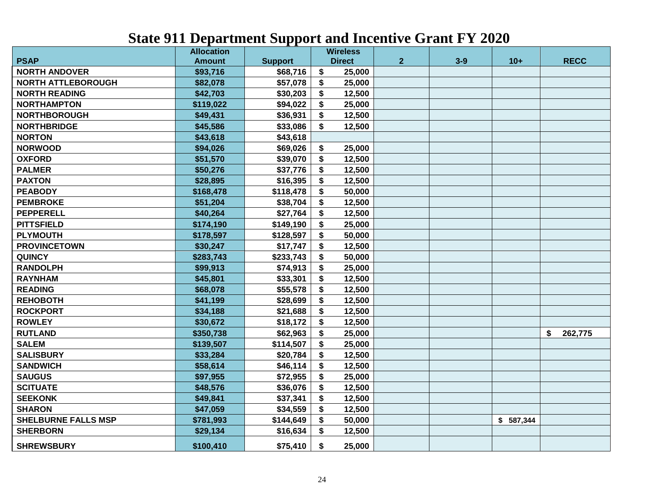|                            | <b>Allocation</b> |                | <b>Wireless</b>                     |                |       |           |               |
|----------------------------|-------------------|----------------|-------------------------------------|----------------|-------|-----------|---------------|
| <b>PSAP</b>                | <b>Amount</b>     | <b>Support</b> | <b>Direct</b>                       | $\overline{2}$ | $3-9$ | $10+$     | <b>RECC</b>   |
| <b>NORTH ANDOVER</b>       | \$93,716          | \$68,716       | \$<br>25,000                        |                |       |           |               |
| <b>NORTH ATTLEBOROUGH</b>  | \$82,078          | \$57,078       | \$<br>25,000                        |                |       |           |               |
| <b>NORTH READING</b>       | \$42,703          | \$30,203       | \$<br>12,500                        |                |       |           |               |
| <b>NORTHAMPTON</b>         | \$119,022         | \$94,022       | \$<br>25,000                        |                |       |           |               |
| <b>NORTHBOROUGH</b>        | \$49,431          | \$36,931       | \$<br>12,500                        |                |       |           |               |
| <b>NORTHBRIDGE</b>         | \$45,586          | \$33,086       | \$<br>12,500                        |                |       |           |               |
| <b>NORTON</b>              | \$43,618          | \$43,618       |                                     |                |       |           |               |
| <b>NORWOOD</b>             | \$94,026          | \$69,026       | \$<br>25,000                        |                |       |           |               |
| <b>OXFORD</b>              | \$51,570          | \$39,070       | \$<br>12,500                        |                |       |           |               |
| <b>PALMER</b>              | \$50,276          | \$37,776       | \$<br>12,500                        |                |       |           |               |
| <b>PAXTON</b>              | \$28,895          | \$16,395       | \$<br>12,500                        |                |       |           |               |
| <b>PEABODY</b>             | \$168,478         | \$118,478      | \$<br>50,000                        |                |       |           |               |
| <b>PEMBROKE</b>            | \$51,204          | \$38,704       | \$<br>12,500                        |                |       |           |               |
| <b>PEPPERELL</b>           | \$40,264          | \$27,764       | \$<br>12,500                        |                |       |           |               |
| <b>PITTSFIELD</b>          | \$174,190         | \$149,190      | \$<br>25,000                        |                |       |           |               |
| <b>PLYMOUTH</b>            | \$178,597         | \$128,597      | \$<br>50,000                        |                |       |           |               |
| <b>PROVINCETOWN</b>        | \$30,247          | \$17,747       | \$<br>12,500                        |                |       |           |               |
| <b>QUINCY</b>              | \$283,743         | \$233,743      | \$<br>50,000                        |                |       |           |               |
| <b>RANDOLPH</b>            | \$99,913          | \$74,913       | \$<br>25,000                        |                |       |           |               |
| <b>RAYNHAM</b>             | \$45,801          | \$33,301       | \$<br>12,500                        |                |       |           |               |
| <b>READING</b>             | \$68,078          | \$55,578       | \$<br>12,500                        |                |       |           |               |
| <b>REHOBOTH</b>            | \$41,199          | \$28,699       | \$<br>12,500                        |                |       |           |               |
| <b>ROCKPORT</b>            | \$34,188          | \$21,688       | \$<br>12,500                        |                |       |           |               |
| <b>ROWLEY</b>              | \$30,672          | \$18,172       | \$<br>12,500                        |                |       |           |               |
| <b>RUTLAND</b>             | \$350,738         | \$62,963       | \$<br>25,000                        |                |       |           | \$<br>262,775 |
| <b>SALEM</b>               | \$139,507         | \$114,507      | \$<br>25,000                        |                |       |           |               |
| <b>SALISBURY</b>           | \$33,284          | \$20,784       | \$<br>12,500                        |                |       |           |               |
| <b>SANDWICH</b>            | \$58,614          | \$46,114       | \$<br>12,500                        |                |       |           |               |
| <b>SAUGUS</b>              | \$97,955          | \$72,955       | \$<br>25,000                        |                |       |           |               |
| <b>SCITUATE</b>            | \$48,576          | \$36,076       | $\boldsymbol{\mathsf{s}}$<br>12,500 |                |       |           |               |
| <b>SEEKONK</b>             | \$49,841          | \$37,341       | \$<br>12,500                        |                |       |           |               |
| <b>SHARON</b>              | \$47,059          | \$34,559       | 12,500<br>\$                        |                |       |           |               |
| <b>SHELBURNE FALLS MSP</b> | \$781,993         | \$144,649      | \$<br>50,000                        |                |       | \$587,344 |               |
| <b>SHERBORN</b>            | \$29,134          | \$16,634       | \$<br>12,500                        |                |       |           |               |
| <b>SHREWSBURY</b>          | \$100,410         | \$75,410       | \$<br>25,000                        |                |       |           |               |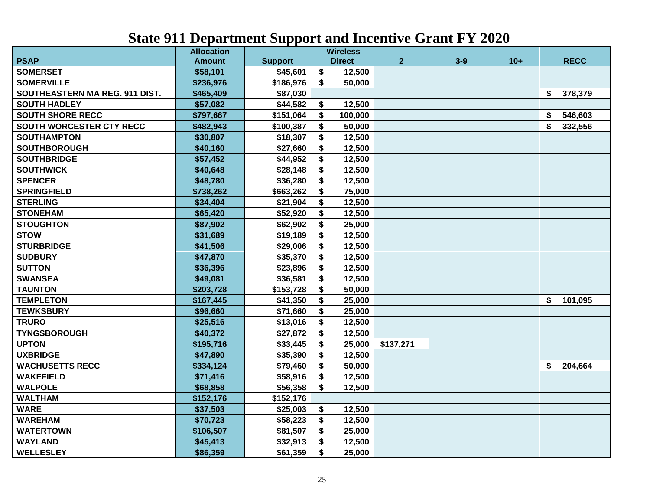|                                | <b>Allocation</b> |                |    | <b>Wireless</b> |                |         |       |               |
|--------------------------------|-------------------|----------------|----|-----------------|----------------|---------|-------|---------------|
| <b>PSAP</b>                    | <b>Amount</b>     | <b>Support</b> |    | <b>Direct</b>   | 2 <sup>1</sup> | $3 - 9$ | $10+$ | <b>RECC</b>   |
| <b>SOMERSET</b>                | \$58,101          | \$45,601       | \$ | 12,500          |                |         |       |               |
| <b>SOMERVILLE</b>              | \$236,976         | \$186,976      | \$ | 50,000          |                |         |       |               |
| SOUTHEASTERN MA REG. 911 DIST. | \$465,409         | \$87,030       |    |                 |                |         |       | \$<br>378,379 |
| <b>SOUTH HADLEY</b>            | \$57,082          | \$44,582       | \$ | 12,500          |                |         |       |               |
| <b>SOUTH SHORE RECC</b>        | \$797,667         | \$151,064      | \$ | 100,000         |                |         |       | \$<br>546,603 |
| SOUTH WORCESTER CTY RECC       | \$482,943         | \$100,387      | \$ | 50,000          |                |         |       | \$<br>332,556 |
| <b>SOUTHAMPTON</b>             | \$30,807          | \$18,307       | \$ | 12,500          |                |         |       |               |
| <b>SOUTHBOROUGH</b>            | \$40,160          | \$27,660       | \$ | 12,500          |                |         |       |               |
| <b>SOUTHBRIDGE</b>             | \$57,452          | \$44,952       | \$ | 12,500          |                |         |       |               |
| <b>SOUTHWICK</b>               | \$40,648          | \$28,148       | S  | 12,500          |                |         |       |               |
| <b>SPENCER</b>                 | \$48,780          | \$36,280       | \$ | 12,500          |                |         |       |               |
| <b>SPRINGFIELD</b>             | \$738,262         | \$663,262      | S  | 75,000          |                |         |       |               |
| <b>STERLING</b>                | \$34,404          | \$21,904       | S  | 12,500          |                |         |       |               |
| <b>STONEHAM</b>                | \$65,420          | \$52,920       | S  | 12,500          |                |         |       |               |
| <b>STOUGHTON</b>               | \$87,902          | \$62,902       | S  | 25,000          |                |         |       |               |
| <b>STOW</b>                    | \$31,689          | \$19,189       | S  | 12,500          |                |         |       |               |
| <b>STURBRIDGE</b>              | \$41,506          | \$29,006       | \$ | 12,500          |                |         |       |               |
| <b>SUDBURY</b>                 | \$47,870          | \$35,370       | \$ | 12,500          |                |         |       |               |
| <b>SUTTON</b>                  | \$36,396          | \$23,896       | \$ | 12,500          |                |         |       |               |
| <b>SWANSEA</b>                 | \$49,081          | \$36,581       | \$ | 12,500          |                |         |       |               |
| <b>TAUNTON</b>                 | \$203,728         | \$153,728      | \$ | 50,000          |                |         |       |               |
| <b>TEMPLETON</b>               | \$167,445         | \$41,350       | \$ | 25,000          |                |         |       | \$<br>101,095 |
| <b>TEWKSBURY</b>               | \$96,660          | \$71,660       | \$ | 25,000          |                |         |       |               |
| <b>TRURO</b>                   | \$25,516          | \$13,016       | \$ | 12,500          |                |         |       |               |
| <b>TYNGSBOROUGH</b>            | \$40,372          | \$27,872       | \$ | 12,500          |                |         |       |               |
| <b>UPTON</b>                   | \$195,716         | \$33,445       | \$ | 25,000          | \$137,271      |         |       |               |
| <b>UXBRIDGE</b>                | \$47,890          | \$35,390       | Ŝ. | 12,500          |                |         |       |               |
| <b>WACHUSETTS RECC</b>         | \$334,124         | \$79,460       | \$ | 50,000          |                |         |       | \$<br>204,664 |
| <b>WAKEFIELD</b>               | \$71,416          | \$58,916       | \$ | 12,500          |                |         |       |               |
| <b>WALPOLE</b>                 | \$68,858          | \$56,358       | \$ | 12,500          |                |         |       |               |
| <b>WALTHAM</b>                 | \$152,176         | \$152,176      |    |                 |                |         |       |               |
| <b>WARE</b>                    | \$37,503          | \$25,003       | \$ | 12,500          |                |         |       |               |
| <b>WAREHAM</b>                 | \$70,723          | \$58,223       | \$ | 12,500          |                |         |       |               |
| <b>WATERTOWN</b>               | \$106,507         | \$81,507       | \$ | 25,000          |                |         |       |               |
| <b>WAYLAND</b>                 | \$45,413          | \$32,913       | \$ | 12,500          |                |         |       |               |
| <b>WELLESLEY</b>               | \$86,359          | \$61,359       | \$ | 25,000          |                |         |       |               |